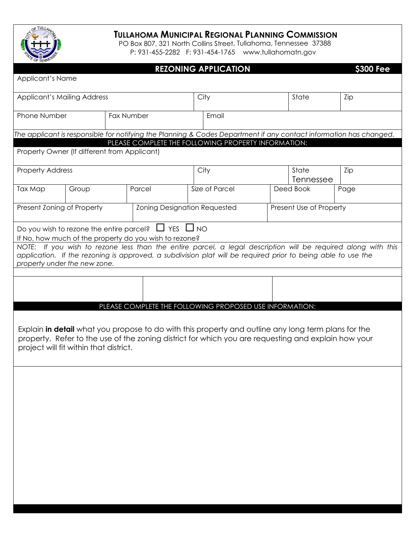

## **TULLAHOMA MUNICIPAL REGIONAL PLANNING COMMISSION**

PO Box 807, 321 North Collins Street , Tullahoma, Tennessee 37388 P: 931-455-2282 F: 931-454-1765 www.tullahomatn.gov

|                                                                                                                                                                                                                                                               |                                              |            |      | <b>REZONING APPLICATION</b>                                    |           |     | <b>S300 Fee</b> |  |  |
|---------------------------------------------------------------------------------------------------------------------------------------------------------------------------------------------------------------------------------------------------------------|----------------------------------------------|------------|------|----------------------------------------------------------------|-----------|-----|-----------------|--|--|
| Applicant's Name                                                                                                                                                                                                                                              |                                              |            |      |                                                                |           |     |                 |  |  |
| <b>Applicant's Mailing Address</b>                                                                                                                                                                                                                            |                                              |            | City |                                                                | State     | Zip |                 |  |  |
| Phone Number                                                                                                                                                                                                                                                  |                                              | Fax Number |      | Email                                                          |           |     |                 |  |  |
| The applicant is responsible for notifying the Planning & Codes Department if any contact information has changed.<br>PLEASE COMPLETE THE FOLLOWING PROPERTY INFORMATION:                                                                                     |                                              |            |      |                                                                |           |     |                 |  |  |
|                                                                                                                                                                                                                                                               | Property Owner (If different from Applicant) |            |      |                                                                |           |     |                 |  |  |
| <b>Property Address</b>                                                                                                                                                                                                                                       |                                              |            |      | City<br>State<br>Tennessee                                     |           |     | Zip             |  |  |
| Tax Map                                                                                                                                                                                                                                                       | Group                                        | Parcel     |      | Size of Parcel                                                 | Deed Book |     | Page            |  |  |
| Present Zoning of Property                                                                                                                                                                                                                                    |                                              |            |      | <b>Zoning Designation Requested</b><br>Present Use of Property |           |     |                 |  |  |
| Do you wish to rezone the entire parcel? $\Box$ YES $\Box$ NO<br>If No, how much of the property do you wish to rezone?                                                                                                                                       |                                              |            |      |                                                                |           |     |                 |  |  |
| NOTE: If you wish to rezone less than the entire parcel, a legal description will be required along with this<br>application. If the rezoning is approved, a subdivision plat will be required prior to being able to use the<br>property under the new zone. |                                              |            |      |                                                                |           |     |                 |  |  |
|                                                                                                                                                                                                                                                               |                                              |            |      |                                                                |           |     |                 |  |  |
|                                                                                                                                                                                                                                                               |                                              |            |      |                                                                |           |     |                 |  |  |
|                                                                                                                                                                                                                                                               |                                              |            |      | PLEASE COMPLETE THE FOLLOWING PROPOSED USE INFORMATION:        |           |     |                 |  |  |
| Explain in detail what you propose to do with this property and outline any long term plans for the<br>property. Refer to the use of the zoning district for which you are requesting and explain how your<br>project will fit within that district.          |                                              |            |      |                                                                |           |     |                 |  |  |
|                                                                                                                                                                                                                                                               |                                              |            |      |                                                                |           |     |                 |  |  |
|                                                                                                                                                                                                                                                               |                                              |            |      |                                                                |           |     |                 |  |  |
|                                                                                                                                                                                                                                                               |                                              |            |      |                                                                |           |     |                 |  |  |
|                                                                                                                                                                                                                                                               |                                              |            |      |                                                                |           |     |                 |  |  |
|                                                                                                                                                                                                                                                               |                                              |            |      |                                                                |           |     |                 |  |  |
|                                                                                                                                                                                                                                                               |                                              |            |      |                                                                |           |     |                 |  |  |
|                                                                                                                                                                                                                                                               |                                              |            |      |                                                                |           |     |                 |  |  |
|                                                                                                                                                                                                                                                               |                                              |            |      |                                                                |           |     |                 |  |  |